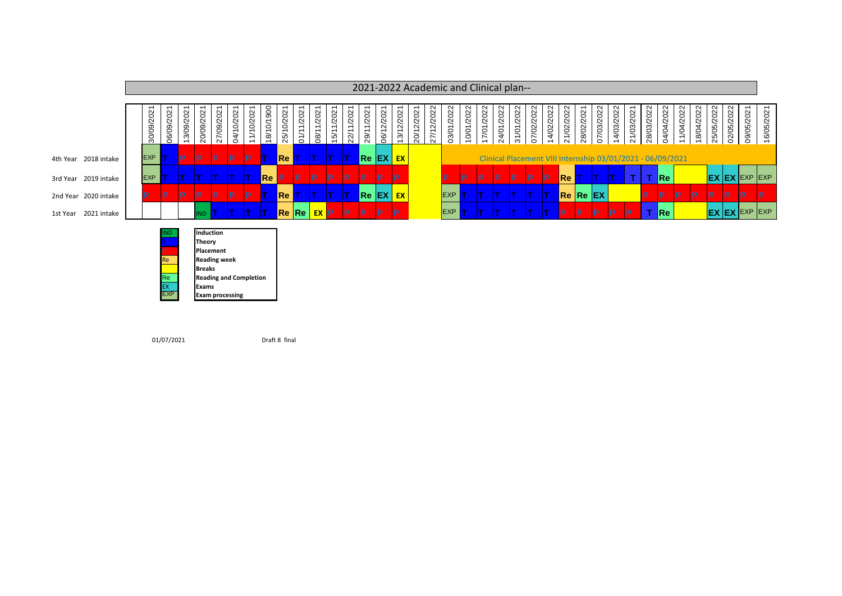|                      |  | 2021-2022 Academic and Clinical plan-- |            |           |                            |                  |                |               |             |            |                |                         |               |                |                                 |                |                |               |            |            |            |              |            |            |            |            |                                  |           |            |            |                                                                                                                                                                                                                                      |            |                                                            |            |            |            |           |                      |            |
|----------------------|--|----------------------------------------|------------|-----------|----------------------------|------------------|----------------|---------------|-------------|------------|----------------|-------------------------|---------------|----------------|---------------------------------|----------------|----------------|---------------|------------|------------|------------|--------------|------------|------------|------------|------------|----------------------------------|-----------|------------|------------|--------------------------------------------------------------------------------------------------------------------------------------------------------------------------------------------------------------------------------------|------------|------------------------------------------------------------|------------|------------|------------|-----------|----------------------|------------|
|                      |  | 30/09/2021                             | 06/09/2021 | 13/09/202 | 20/09/202                  | 27/09/2021       | 0/2021<br>04/1 | 0/202<br>11/1 | 18/10/1900  | 25/10/2021 | 1/2021<br>01/1 | /202<br>$\overline{08}$ | 1/202<br>15/1 | 1/2021<br>22/1 | /2021<br>$\overline{ }$<br>29/1 | 2/2021<br>06/1 | 2/2021<br>13/1 | 2/202<br>20/1 | 27/12/2022 | 03/01/2022 | 10/01/2022 | 17/01/2022   | 24/01/2022 | 31/01/2022 | 07/02/2022 | 14/02/2022 | 21/02/2022                       | 28/02/202 | 07/03/2022 | 14/03/2022 | 21/03/2021                                                                                                                                                                                                                           | 28/03/2022 | 04/04/2022                                                 | 11/04/2022 | 18/04/2022 | 25/05/2022 | 02/05/202 | rO.<br>09/0          | 16/05/2021 |
| 4th Year 2018 intake |  | <b>EXP</b>                             |            | D         | P                          | <b>P</b>         | P              | IP.           |             | Re         |                |                         |               |                |                                 | Re EX EX       |                |               |            |            |            |              |            |            |            |            |                                  |           |            |            |                                                                                                                                                                                                                                      |            | Clinical Placement VIII Internship 03/01/2021 - 06/09/2021 |            |            |            |           |                      |            |
| 3rd Year 2019 intake |  | <b>EXP</b>                             |            |           |                            |                  |                |               | <b>Re</b> P |            | <b>IP</b>      | P                       | <b>P</b>      | IP.            | IP                              | IP             | <b>P</b>       |               |            | D          | P          | $\mathsf{P}$ | IP.        | IP.        | IP.        | <b>IP</b>  | $\blacksquare$ Re $\blacksquare$ |           |            |            | <b>The Contract of the Contract of the Contract of the Contract of the Contract of the Contract of the Contract of the Contract of the Contract of the Contract of the Contract of the Contract of the Contract of the Contract </b> | <b>T</b>   | Re                                                         |            |            |            |           | <b>EX EX EXP EXP</b> |            |
| 2nd Year 2020 intake |  | D                                      | P          | D         | P                          | IP               | D              | IP.           |             | Re         |                |                         |               |                |                                 | Re EX EX       |                |               |            | EXP        |            |              |            |            |            |            | <b>Re Re EX</b>                  |           |            |            |                                                                                                                                                                                                                                      | D          | D                                                          | IP.        | ID.        | IP         | Þ         | D                    |            |
| 1st Year 2021 intake |  |                                        |            |           | IND                        |                  |                |               |             | Re Re      |                | EX P                    |               | IP.            | <b>IP</b>                       | <b>IP</b>      | IP             |               |            | EXP        |            |              |            |            |            |            | P                                | D         | <b>P</b>   | D          | D                                                                                                                                                                                                                                    |            | Re                                                         |            |            |            |           | <b>EX EX EXP EXP</b> |            |
|                      |  |                                        |            |           | Induction<br><b>Theory</b> | <b>Placement</b> |                |               |             |            |                |                         |               |                |                                 |                |                |               |            |            |            |              |            |            |            |            |                                  |           |            |            |                                                                                                                                                                                                                                      |            |                                                            |            |            |            |           |                      |            |

Re **Reading week Breaks** 

EX Exams<br>EXP Exam p

**Re Reading and Completion**<br> **EX Exams** 

**Exam processing** 

Draft 8 final

01/07/2021